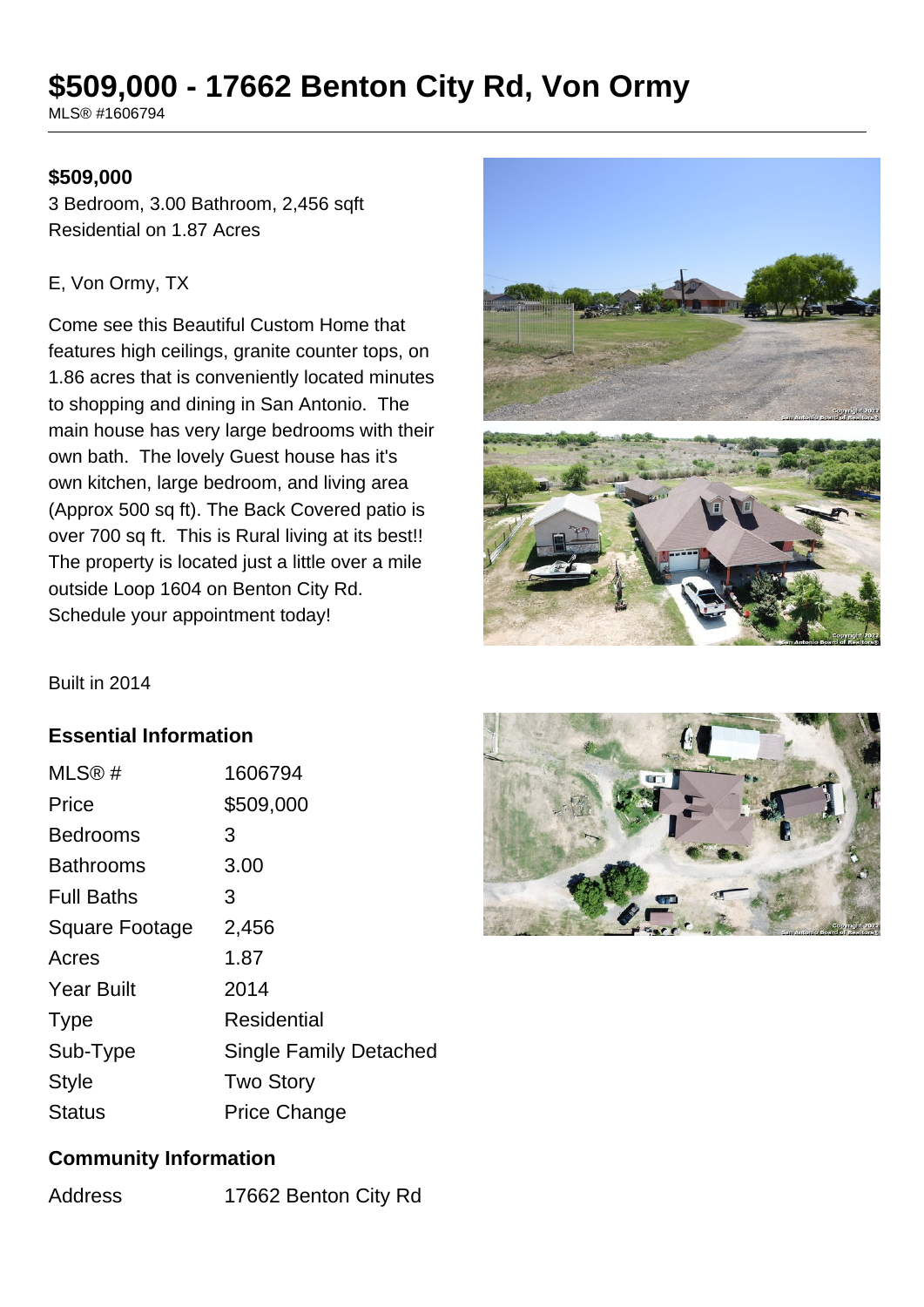# **\$509,000 - 17662 Benton City Rd, Von Ormy**

MLS® #1606794

#### **\$509,000**

3 Bedroom, 3.00 Bathroom, 2,456 sqft Residential on 1.87 Acres

#### E, Von Ormy, TX

Come see this Beautiful Custom Home that features high ceilings, granite counter tops, on 1.86 acres that is conveniently located minutes to shopping and dining in San Antonio. The main house has very large bedrooms with their own bath. The lovely Guest house has it's own kitchen, large bedroom, and living area (Approx 500 sq ft). The Back Covered patio is over 700 sq ft. This is Rural living at its best!! The property is located just a little over a mile outside Loop 1604 on Benton City Rd. Schedule your appointment today!



Built in 2014

#### **Essential Information**

| MLS@#             | 1606794                       |
|-------------------|-------------------------------|
| Price             | \$509,000                     |
| <b>Bedrooms</b>   | 3                             |
| <b>Bathrooms</b>  | 3.00                          |
| <b>Full Baths</b> | 3                             |
| Square Footage    | 2,456                         |
| Acres             | 1.87                          |
| <b>Year Built</b> | 2014                          |
| <b>Type</b>       | Residential                   |
| Sub-Type          | <b>Single Family Detached</b> |
| <b>Style</b>      | <b>Two Story</b>              |
| Status            | <b>Price Change</b>           |



#### **Community Information**

Address 17662 Benton City Rd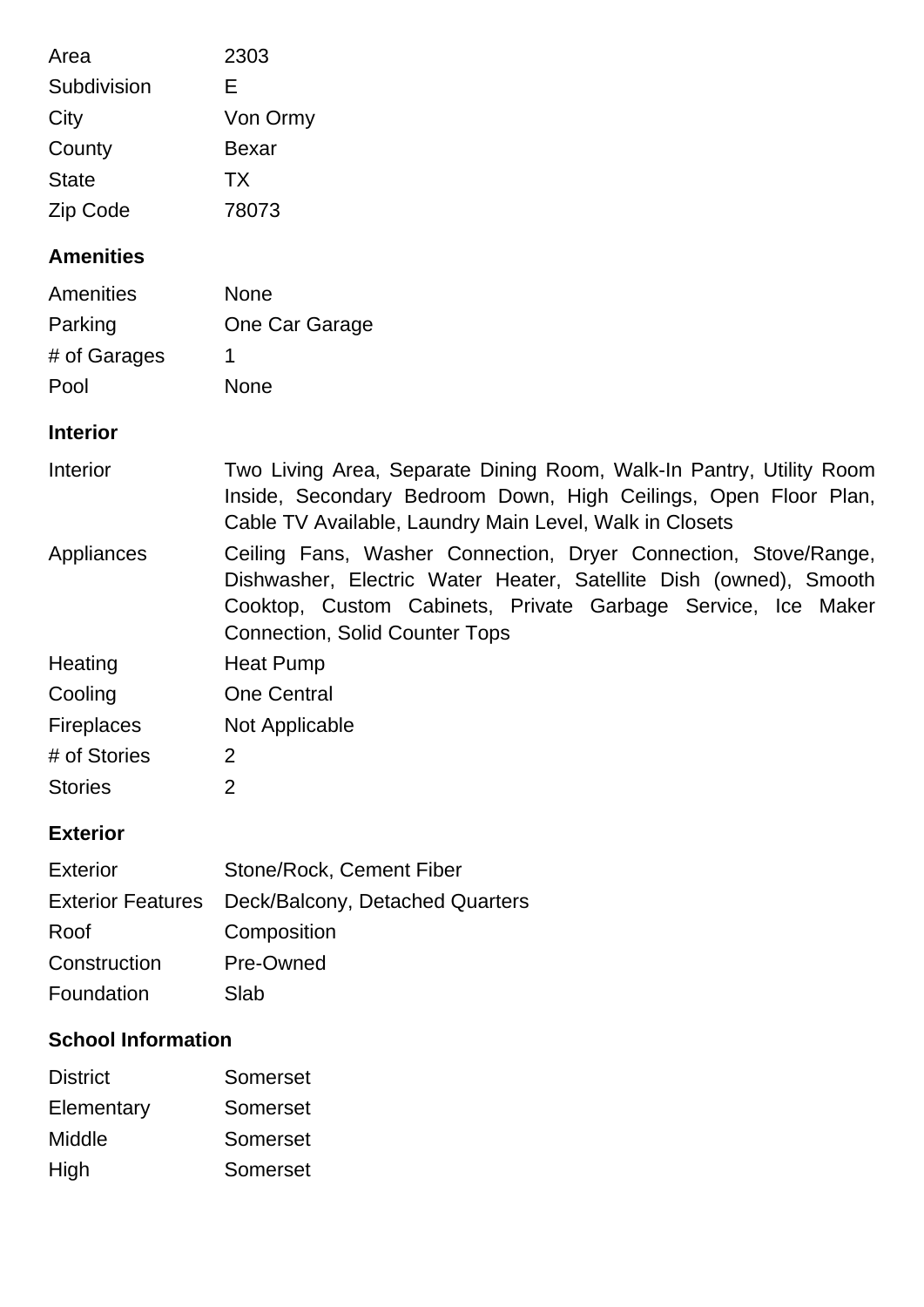| Area<br>Subdivision<br>City<br>County<br><b>State</b><br>Zip Code                 | 2303<br>Е<br>Von Ormy<br><b>Bexar</b><br>TX<br>78073                                                                                                                                                                                          |  |
|-----------------------------------------------------------------------------------|-----------------------------------------------------------------------------------------------------------------------------------------------------------------------------------------------------------------------------------------------|--|
| <b>Amenities</b>                                                                  |                                                                                                                                                                                                                                               |  |
| Amenities<br>Parking<br># of Garages<br>Pool                                      | <b>None</b><br>One Car Garage<br>1<br><b>None</b>                                                                                                                                                                                             |  |
| <b>Interior</b>                                                                   |                                                                                                                                                                                                                                               |  |
| Interior                                                                          | Two Living Area, Separate Dining Room, Walk-In Pantry, Utility Room<br>Inside, Secondary Bedroom Down, High Ceilings, Open Floor Plan,<br>Cable TV Available, Laundry Main Level, Walk in Closets                                             |  |
| Appliances                                                                        | Ceiling Fans, Washer Connection, Dryer Connection, Stove/Range,<br>Dishwasher, Electric Water Heater, Satellite Dish (owned), Smooth<br>Cooktop, Custom Cabinets, Private Garbage Service, Ice Maker<br><b>Connection, Solid Counter Tops</b> |  |
| Heating                                                                           | <b>Heat Pump</b>                                                                                                                                                                                                                              |  |
| Cooling                                                                           | <b>One Central</b>                                                                                                                                                                                                                            |  |
| Fireplaces                                                                        | <b>Not Applicable</b>                                                                                                                                                                                                                         |  |
| # of Stories                                                                      | 2                                                                                                                                                                                                                                             |  |
| <b>Stories</b>                                                                    | $\overline{2}$                                                                                                                                                                                                                                |  |
| <b>Exterior</b>                                                                   |                                                                                                                                                                                                                                               |  |
| <b>Exterior</b><br><b>Exterior Features</b><br>Roof<br>Construction<br>Foundation | Stone/Rock, Cement Fiber<br>Deck/Balcony, Detached Quarters<br>Composition<br>Pre-Owned<br>Slab                                                                                                                                               |  |
| <b>School Information</b>                                                         |                                                                                                                                                                                                                                               |  |

| <b>District</b> | Somerset |
|-----------------|----------|
| Elementary      | Somerset |
| Middle          | Somerset |
| High            | Somerset |